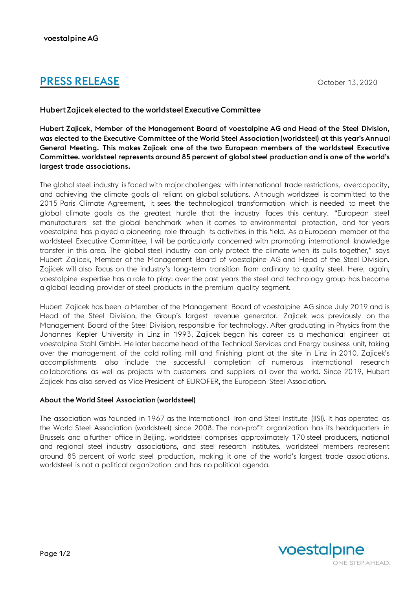# **PRESS RELEASE** October 13, 2020

## HubertZajicekelected to the worldsteel ExecutiveCommittee

Hubert Zajicek, Member of the Management Board of voestalpine AG and Head of the Steel Division, was elected to the Executive Committee of the World Steel Association (worldsteel) at this year's Annual General Meeting. This makes Zajicek one of the two European members of the worldsteel Executive Committee. worldsteel represents around 85 percent of global steel production and is one of the world's largest trade associations.

The global steel industry is faced with major challenges: with international trade restrictions, overcapacity, and achieving the climate goals all reliant on global solutions. Although worldsteel is committed to the 2015 Paris Climate Agreement, it sees the technological transformation which is needed to meet the global climate goals as the greatest hurdle that the industry faces this century. "European steel manufacturers set the global benchmark when it comes to environmental protection, and for years voestalpine has played a pioneering role through its activities in this field. As a European member of the worldsteel Executive Committee, I will be particularly concerned with promoting international knowledge transfer in this area. The global steel industry can only protect the climate when its pulls together," says Hubert Zajicek, Member of the Management Board of voestalpine AG and Head of the Steel Division. Zajicek will also focus on the industry's long-term transition from ordinary to quality steel. Here, again, voestalpine expertise has a role to play: over the past years the steel and technology group has become a global leading provider of steel products in the premium quality segment.

Hubert Zajicek has been a Member of the Management Board of voestalpine AG since July 2019 and is Head of the Steel Division, the Group's largest revenue generator. Zajicek was previously on the Management Board of the Steel Division, responsible for technology. After graduating in Physics from the Johannes Kepler University in Linz in 1993, Zajicek began his career as a mechanical engineer at voestalpine Stahl GmbH. He later became head of the Technical Services and Energy business unit, taking over the management of the cold rolling mill and finishing plant at the site in Linz in 2010. Zajicek's accomplishments also include the successful completion of numerous international research collaborations as well as projects with customers and suppliers all over the world. Since 2019, Hubert Zajicek has also served as Vice President of EUROFER, the European Steel Association.

## About the World Steel Association (worldsteel)

The association was founded in 1967 as the International Iron and Steel Institute (IISI). It has operated as the World Steel Association (worldsteel) since 2008. The non-profit organization has its headquarters in Brussels and a further office in Beijing. worldsteel comprises approximately 170 steel producers, national and regional steel industry associations, and steel research institutes. worldsteel members represent around 85 percent of world steel production, making it one of the world's largest trade associations. worldsteel is not a political organization and has no political agenda.